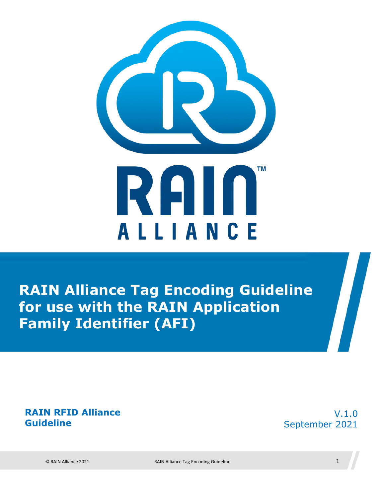

**RAIN Alliance Tag Encoding Guideline for use with the RAIN Application Family Identifier (AFI)**

#### **RAIN RFID Alliance Guideline**

V.1.0 September 2021

© RAIN Alliance 2021 RAIN Alliance Tag Encoding Guideline 1

 $\sqrt{2}$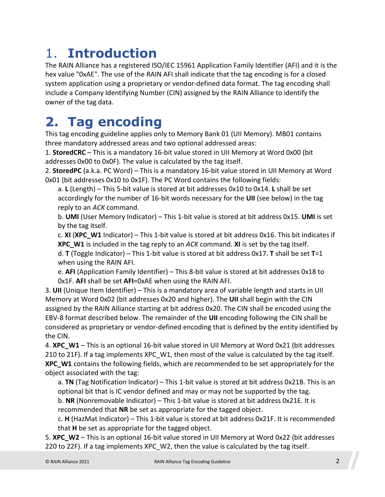### 1. **Introduction**

The RAIN Alliance has a registered ISO/IEC 15961 Application Family Identifier (AFI) and it is the hex value "0xAE". The use of the RAIN AFI shall indicate that the tag encoding is for a closed system application using a proprietary or vendor-defined data format. The tag encoding shall include a Company Identifying Number (CIN) assigned by the RAIN Alliance to identify the owner of the tag data.

### **2. Tag encoding**

This tag encoding guideline applies only to Memory Bank 01 (UII Memory). MB01 contains three mandatory addressed areas and two optional addressed areas:

1. **StoredCRC** – This is a mandatory 16-bit value stored in UII Memory at Word 0x00 (bit addresses 0x00 to 0x0F). The value is calculated by the tag itself.

2. **StoredPC** (a.k.a. PC Word) – This is a mandatory 16-bit value stored in UII Memory at Word 0x01 (bit addresses 0x10 to 0x1F). The PC Word contains the following fields:

a. **L** (Length) – This 5-bit value is stored at bit addresses 0x10 to 0x14. **L** shall be set accordingly for the number of 16-bit words necessary for the **UII** (see below) in the tag reply to an *ACK* command.

b. **UMI** (User Memory Indicator) – This 1-bit value is stored at bit address 0x15. **UMI** is set by the tag itself.

c. **XI** (**XPC\_W1** Indicator) – This 1-bit value is stored at bit address 0x16. This bit indicates if **XPC\_W1** is included in the tag reply to an *ACK* command. **XI** is set by the tag itself.

d. **T** (Toggle Indicator) – This 1-bit value is stored at bit address 0x17. **T** shall be set **T**=1 when using the RAIN AFI.

e. **AFI** (Application Family Identifier) – This 8-bit value is stored at bit addresses 0x18 to 0x1F. **AFI** shall be set **AFI**=0xAE when using the RAIN AFI.

3. **UII** (Unique Item Identifier) – This is a mandatory area of variable length and starts in UII Memory at Word 0x02 (bit addresses 0x20 and higher). The **UII** shall begin with the CIN assigned by the RAIN Alliance starting at bit address 0x20. The CIN shall be encoded using the EBV-8 format described below. The remainder of the **UII** encoding following the CIN shall be considered as proprietary or vendor-defined encoding that is defined by the entity identified by the CIN.

4. **XPC** W1 – This is an optional 16-bit value stored in UII Memory at Word 0x21 (bit addresses 210 to 21F). If a tag implements XPC\_W1, then most of the value is calculated by the tag itself. **XPC\_W1** contains the following fields, which are recommended to be set appropriately for the object associated with the tag:

a. **TN** (Tag Notification Indicator) – This 1-bit value is stored at bit address 0x21B. This is an optional bit that is IC vendor defined and may or may not be supported by the tag.

b. **NR** (Nonremovable Indicator) – This 1-bit value is stored at bit address 0x21E. It is recommended that **NR** be set as appropriate for the tagged object.

c. **H** (HazMat Indicator) – This 1-bit value is stored at bit address 0x21F. It is recommended that **H** be set as appropriate for the tagged object.

5. **XPC\_W2** – This is an optional 16-bit value stored in UII Memory at Word 0x22 (bit addresses 220 to 22F). If a tag implements XPC\_W2, then the value is calculated by the tag itself.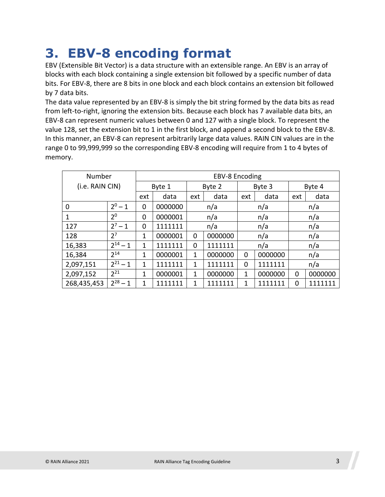### **3. EBV-8 encoding format**

EBV (Extensible Bit Vector) is a data structure with an extensible range. An EBV is an array of blocks with each block containing a single extension bit followed by a specific number of data bits. For EBV-8, there are 8 bits in one block and each block contains an extension bit followed by 7 data bits.

The data value represented by an EBV-8 is simply the bit string formed by the data bits as read from left-to-right, ignoring the extension bits. Because each block has 7 available data bits, an EBV-8 can represent numeric values between 0 and 127 with a single block. To represent the value 128, set the extension bit to 1 in the first block, and append a second block to the EBV-8. In this manner, an EBV-8 can represent arbitrarily large data values. RAIN CIN values are in the range 0 to 99,999,999 so the corresponding EBV-8 encoding will require from 1 to 4 bytes of memory.

| Number          | <b>EBV-8 Encoding</b> |              |         |        |         |        |         |      |         |  |  |  |  |
|-----------------|-----------------------|--------------|---------|--------|---------|--------|---------|------|---------|--|--|--|--|
| (i.e. RAIN CIN) |                       | Byte 1       |         | Byte 2 |         | Byte 3 | Byte 4  |      |         |  |  |  |  |
|                 | ext                   | data         | ext     | data   |         | data   | ext     | data |         |  |  |  |  |
| 0               | $2^0 - 1$             | 0            | 0000000 |        | n/a     |        | n/a     | n/a  |         |  |  |  |  |
| $\mathbf{1}$    | 2 <sup>0</sup>        | 0            | 0000001 |        | n/a     |        | n/a     | n/a  |         |  |  |  |  |
| 127             | $2^7 - 1$             | 0            | 1111111 |        | n/a     |        | n/a     | n/a  |         |  |  |  |  |
| 128             | 2 <sup>7</sup>        | 1            | 0000001 | 0      | 0000000 |        | n/a     | n/a  |         |  |  |  |  |
| 16,383          | $2^{14} - 1$          | 1            | 1111111 | 0      | 1111111 |        | n/a     |      | n/a     |  |  |  |  |
| 16,384          | $2^{14}$              | 1            | 0000001 | 1      | 0000000 | 0      | 0000000 |      | n/a     |  |  |  |  |
| 2,097,151       | $2^{21} - 1$          | $\mathbf{1}$ | 1111111 | 1      | 1111111 | 0      | 1111111 |      | n/a     |  |  |  |  |
| 2,097,152       | $2^{21}$              | 1            | 0000001 | 1      | 0000000 | 1      | 0000000 | 0    | 0000000 |  |  |  |  |
| 268,435,453     | $2^{28} - 1$          | 1            | 1111111 | 1      | 1111111 | 1      | 1111111 | 0    | 1111111 |  |  |  |  |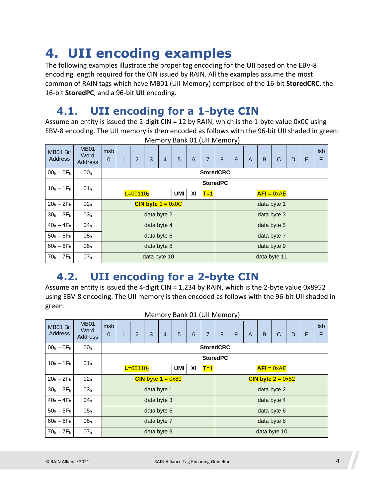### **4. UII encoding examples**

The following examples illustrate the proper tag encoding for the **UII** based on the EBV-8 encoding length required for the CIN issued by RAIN. All the examples assume the most common of RAIN tags which have MB01 (UII Memory) comprised of the 16-bit **StoredCRC**, the 16-bit **StoredPC**, and a 96-bit **UII** encoding.

#### **4.1. UII encoding for a 1-byte CIN**

Assume an entity is issued the 2-digit CIN = 12 by RAIN, which is the 1-byte value 0x0C using EBV-8 encoding. The UII memory is then encoded as follows with the 96-bit UII shaded in green:

| MB01 Bit<br><b>Address</b> | <b>MB01</b><br>Word<br><b>Address</b> | msb<br>$\mathbf 0$ | $\mathbf{1}$ | 2            | 3                           | $\overline{4}$ | 5          | 6  | $\overline{7}$   | 8           | 9            | $\overline{A}$ | B | C | D | E | <b>Isb</b><br>F |  |
|----------------------------|---------------------------------------|--------------------|--------------|--------------|-----------------------------|----------------|------------|----|------------------|-------------|--------------|----------------|---|---|---|---|-----------------|--|
| $00h - 0Fh$                | 00 <sub>h</sub>                       |                    |              |              |                             |                |            |    | <b>StoredCRC</b> |             |              |                |   |   |   |   |                 |  |
| $10h - 1Fh$                | 01 <sub>h</sub>                       | <b>StoredPC</b>    |              |              |                             |                |            |    |                  |             |              |                |   |   |   |   |                 |  |
|                            |                                       |                    |              | $L = 001102$ |                             |                | <b>UMI</b> | XI | $T=1$            |             | $AFI = 0xAE$ |                |   |   |   |   |                 |  |
| $20h - 2Fh$                | 02 <sub>h</sub>                       |                    |              |              | CIN byte $1 = 0 \times 0$ C |                |            |    | data byte 1      |             |              |                |   |   |   |   |                 |  |
| $30h - 3Fh$                | 03 <sub>h</sub>                       |                    |              |              | data byte 2                 |                |            |    |                  | data byte 3 |              |                |   |   |   |   |                 |  |
| $40h - 4Fh$                | 04 <sub>h</sub>                       |                    |              |              | data byte 4                 |                |            |    |                  | data byte 5 |              |                |   |   |   |   |                 |  |
| $50h - 5Fh$                | 05 <sub>h</sub>                       |                    |              |              | data byte 6                 |                |            |    |                  | data byte 7 |              |                |   |   |   |   |                 |  |
| $60h - 6Fh$                | 06 <sub>h</sub>                       |                    |              |              | data byte 8                 |                |            |    | data byte 9      |             |              |                |   |   |   |   |                 |  |
| $70h - 7Fh$                | 07 <sub>h</sub>                       |                    |              |              | data byte 10                |                |            |    | data byte 11     |             |              |                |   |   |   |   |                 |  |

Memory Bank 01 (UII Memory)

### **4.2. UII encoding for a 2-byte CIN**

Assume an entity is issued the 4-digit CIN = 1,234 by RAIN, which is the 2-byte value 0x8952 using EBV-8 encoding. The UII memory is then encoded as follows with the 96-bit UII shaded in green:

| Memory Bank 01 (UII Memory) |                                       |                                  |                  |                |                            |   |                |   |   |                            |              |   |   |   |                 |  |  |  |
|-----------------------------|---------------------------------------|----------------------------------|------------------|----------------|----------------------------|---|----------------|---|---|----------------------------|--------------|---|---|---|-----------------|--|--|--|
| MB01 Bit<br><b>Address</b>  | <b>MB01</b><br>Word<br><b>Address</b> | msb<br>$\mathbf{0}$              | 3                | $\overline{4}$ | 5                          | 6 | $\overline{7}$ | 8 | 9 | $\overline{A}$             | B            | C | D | Е | <b>Isb</b><br>F |  |  |  |
| $00h - 0Fh$                 | 00 <sub>h</sub>                       |                                  | <b>StoredCRC</b> |                |                            |   |                |   |   |                            |              |   |   |   |                 |  |  |  |
| $10h - 1Fh$                 | 01 <sub>h</sub>                       |                                  | <b>StoredPC</b>  |                |                            |   |                |   |   |                            |              |   |   |   |                 |  |  |  |
|                             |                                       | <b>UMI</b><br>XI<br>$L = 001102$ |                  |                |                            |   |                |   |   | $T=1$                      | $AFI = 0xAE$ |   |   |   |                 |  |  |  |
| $20h - 2Fh$                 | 02 <sub>h</sub>                       |                                  |                  |                | CIN byte $1 = 0 \times 89$ |   |                |   |   | CIN byte $2 = 0 \times 52$ |              |   |   |   |                 |  |  |  |
| $30h - 3Fh$                 | 03 <sub>h</sub>                       |                                  |                  |                | data byte 1                |   |                |   |   | data byte 2                |              |   |   |   |                 |  |  |  |
| $40h - 4Fh$                 | 04 <sub>h</sub>                       |                                  |                  |                | data byte 3                |   |                |   |   | data byte 4                |              |   |   |   |                 |  |  |  |
| $50h - 5Fh$                 | 05 <sub>h</sub>                       |                                  |                  |                | data byte 5                |   |                |   |   | data byte 6                |              |   |   |   |                 |  |  |  |
| $60h - 6Fh$                 | 06 <sub>h</sub>                       |                                  |                  |                | data byte 7                |   |                |   |   | data byte 8                |              |   |   |   |                 |  |  |  |
| $70h - 7Fh$                 | 07 <sub>h</sub>                       | data byte 9                      |                  |                |                            |   |                |   |   |                            | data byte 10 |   |   |   |                 |  |  |  |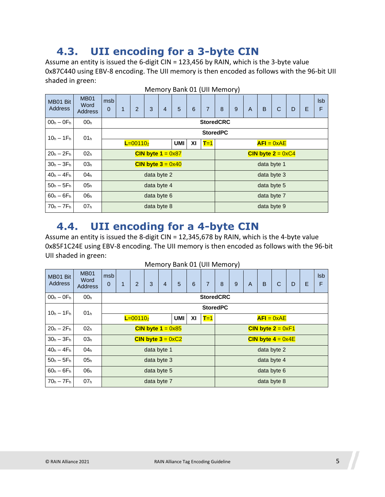#### **4.3. UII encoding for a 3-byte CIN**

Assume an entity is issued the 6-digit CIN = 123,456 by RAIN, which is the 3-byte value 0x87C440 using EBV-8 encoding. The UII memory is then encoded as follows with the 96-bit UII shaded in green:

|                            |                                       |                     |                                  |                |                     |                | $\frac{1}{2}$ |   |                            |             |                |                |   |              |   |   |                 |
|----------------------------|---------------------------------------|---------------------|----------------------------------|----------------|---------------------|----------------|---------------|---|----------------------------|-------------|----------------|----------------|---|--------------|---|---|-----------------|
| MB01 Bit<br><b>Address</b> | <b>MB01</b><br>Word<br><b>Address</b> | msb<br>$\mathbf{0}$ | 1                                | $\overline{2}$ | 3                   | $\overline{4}$ | 5             | 6 | $\overline{7}$             | 8           | $\overline{9}$ | $\overline{A}$ | B | C            | D | Е | <b>Isb</b><br>F |
| $00h - 0Fh$                | 00 <sub>h</sub>                       |                     | <b>StoredCRC</b>                 |                |                     |                |               |   |                            |             |                |                |   |              |   |   |                 |
| $10h - 1Fh$                | 01 <sub>h</sub>                       | <b>StoredPC</b>     |                                  |                |                     |                |               |   |                            |             |                |                |   |              |   |   |                 |
|                            |                                       |                     | <b>UMI</b><br>XI<br>$L = 001102$ |                |                     |                |               |   |                            |             |                |                |   | $AFI = 0xAE$ |   |   |                 |
| $20h - 2Fh$                | 02 <sub>h</sub>                       |                     |                                  |                | CIN byte $1 = 0x87$ |                |               |   | CIN byte $2 = 0 \times C4$ |             |                |                |   |              |   |   |                 |
| $30h - 3Fh$                | 03 <sub>h</sub>                       |                     |                                  |                | CIN byte $3 = 0x40$ |                |               |   |                            | data byte 1 |                |                |   |              |   |   |                 |
| $40h - 4Fh$                | 04 <sub>h</sub>                       |                     |                                  |                | data byte 2         |                |               |   |                            | data byte 3 |                |                |   |              |   |   |                 |
| $50h - 5Fh$                | 05 <sub>h</sub>                       |                     |                                  |                | data byte 4         |                |               |   |                            | data byte 5 |                |                |   |              |   |   |                 |
| $60h - 6Fh$                | 06 <sub>h</sub>                       |                     |                                  |                | data byte 6         |                |               |   |                            | data byte 7 |                |                |   |              |   |   |                 |
| $70h - 7Fh$                | 07 <sub>h</sub>                       |                     |                                  |                | data byte 8         |                |               |   | data byte 9                |             |                |                |   |              |   |   |                 |

Memory Bank 01 (UII Memory)

#### **4.4. UII encoding for a 4-byte CIN**

Assume an entity is issued the 8-digit CIN = 12,345,678 by RAIN, which is the 4-byte value 0x85F1C24E using EBV-8 encoding. The UII memory is then encoded as follows with the 96-bit UII shaded in green:

|                            | Memory Bank 01 (UII Memory)           |                     |                  |   |                            |                |   |            |                            |                            |   |              |   |   |              |   |                 |  |  |
|----------------------------|---------------------------------------|---------------------|------------------|---|----------------------------|----------------|---|------------|----------------------------|----------------------------|---|--------------|---|---|--------------|---|-----------------|--|--|
| MB01 Bit<br><b>Address</b> | <b>MB01</b><br>Word<br><b>Address</b> | msb<br>$\mathbf{0}$ | 1                | 2 | 3                          | $\overline{4}$ | 5 | 6          | $\overline{7}$             | 8                          | 9 | $\mathsf{A}$ | B | C | D            | E | <b>Isb</b><br>F |  |  |
| $00h - 0Fh$                | 00 <sub>h</sub>                       |                     | <b>StoredCRC</b> |   |                            |                |   |            |                            |                            |   |              |   |   |              |   |                 |  |  |
| $10h - 1Fh$                | 01 <sub>h</sub>                       |                     | <b>StoredPC</b>  |   |                            |                |   |            |                            |                            |   |              |   |   |              |   |                 |  |  |
|                            |                                       | $L = 001102$        |                  |   |                            |                |   | <b>UMI</b> | XI                         | $T=1$                      |   |              |   |   | $AFI = 0xAE$ |   |                 |  |  |
| $20h - 2Fh$                | 02 <sub>h</sub>                       |                     |                  |   | CIN byte $1 = 0 \times 85$ |                |   |            | CIN byte $2 = 0 \times F1$ |                            |   |              |   |   |              |   |                 |  |  |
| $30h - 3Fh$                | 03 <sub>h</sub>                       |                     |                  |   | CIN byte $3 = 0 \times C2$ |                |   |            |                            | CIN byte $4 = 0 \times 4E$ |   |              |   |   |              |   |                 |  |  |
| $40h - 4Fh$                | 04 <sub>h</sub>                       |                     |                  |   | data byte 1                |                |   |            |                            | data byte 2                |   |              |   |   |              |   |                 |  |  |
| $50h - 5Fh$                | 05 <sub>h</sub>                       |                     |                  |   | data byte 3                |                |   |            |                            | data byte 4                |   |              |   |   |              |   |                 |  |  |
| $60h - 6Fh$                | 06 <sub>h</sub>                       |                     |                  |   | data byte 5                |                |   |            |                            | data byte 6                |   |              |   |   |              |   |                 |  |  |
| $70h - 7Fh$                | 07 <sub>h</sub>                       |                     | data byte 7      |   |                            |                |   |            |                            |                            |   | data byte 8  |   |   |              |   |                 |  |  |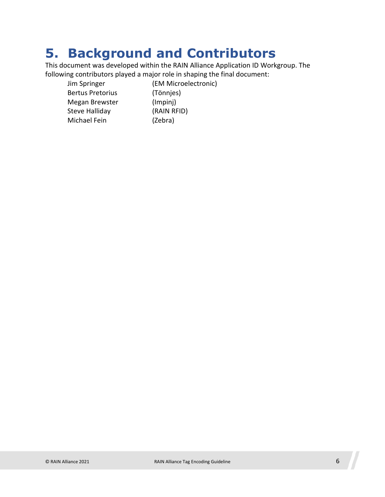### **5. Background and Contributors**

This document was developed within the RAIN Alliance Application ID Workgroup. The following contributors played a major role in shaping the final document:

Jim Springer (EM Microelectronic) Bertus Pretorius (Tönnjes) Megan Brewster (Impinj) Steve Halliday (RAIN RFID) Michael Fein (Zebra)